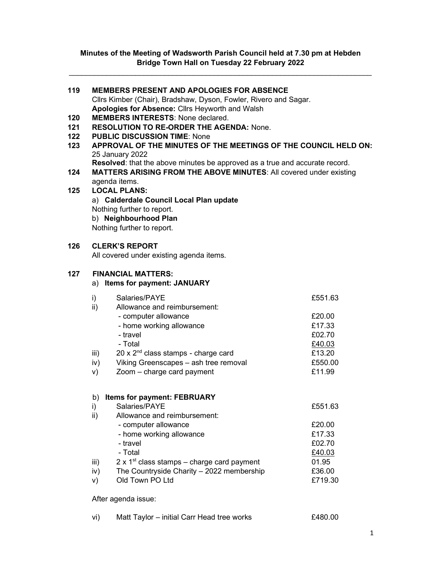# Minutes of the Meeting of Wadsworth Parish Council held at 7.30 pm at Hebden Bridge Town Hall on Tuesday 22 February 2022

| 119 | <b>MEMBERS PRESENT AND APOLOGIES FOR ABSENCE</b>                            |         |  |  |  |
|-----|-----------------------------------------------------------------------------|---------|--|--|--|
|     | Cllrs Kimber (Chair), Bradshaw, Dyson, Fowler, Rivero and Sagar.            |         |  |  |  |
|     | Apologies for Absence: Cllrs Heyworth and Walsh                             |         |  |  |  |
| 120 | <b>MEMBERS INTERESTS: None declared.</b>                                    |         |  |  |  |
| 121 | <b>RESOLUTION TO RE-ORDER THE AGENDA: None.</b>                             |         |  |  |  |
| 122 | <b>PUBLIC DISCUSSION TIME: None</b>                                         |         |  |  |  |
| 123 | APPROVAL OF THE MINUTES OF THE MEETINGS OF THE COUNCIL HELD ON:             |         |  |  |  |
|     | 25 January 2022                                                             |         |  |  |  |
|     | Resolved: that the above minutes be approved as a true and accurate record. |         |  |  |  |
| 124 | <b>MATTERS ARISING FROM THE ABOVE MINUTES: All covered under existing</b>   |         |  |  |  |
|     | agenda items.                                                               |         |  |  |  |
| 125 | <b>LOCAL PLANS:</b>                                                         |         |  |  |  |
|     | a) Calderdale Council Local Plan update                                     |         |  |  |  |
|     | Nothing further to report.                                                  |         |  |  |  |
|     | b) Neighbourhood Plan                                                       |         |  |  |  |
|     | Nothing further to report.                                                  |         |  |  |  |
|     |                                                                             |         |  |  |  |
| 126 | <b>CLERK'S REPORT</b>                                                       |         |  |  |  |
|     | All covered under existing agenda items.                                    |         |  |  |  |
| 127 | <b>FINANCIAL MATTERS:</b>                                                   |         |  |  |  |
|     |                                                                             |         |  |  |  |
|     | a) Items for payment: JANUARY                                               |         |  |  |  |
|     | i)<br>Salaries/PAYE                                                         | £551.63 |  |  |  |
|     | ii)<br>Allowance and reimbursement:                                         |         |  |  |  |
|     | - computer allowance                                                        | £20.00  |  |  |  |
|     | - home working allowance                                                    | £17.33  |  |  |  |
|     | - travel                                                                    | £02.70  |  |  |  |
|     | - Total                                                                     | £40.03  |  |  |  |
|     | 20 x 2 <sup>nd</sup> class stamps - charge card<br>iii)                     | £13.20  |  |  |  |
|     | Viking Greenscapes - ash tree removal<br>iv)                                | £550.00 |  |  |  |
|     | Zoom - charge card payment<br>V)                                            | £11.99  |  |  |  |
|     |                                                                             |         |  |  |  |
|     |                                                                             |         |  |  |  |
|     | b) Items for payment: FEBRUARY<br>Salaries/PAYE                             |         |  |  |  |
|     | i)<br>Allowance and reimbursement:                                          | £551.63 |  |  |  |
|     | ii)<br>- computer allowance                                                 | £20.00  |  |  |  |
|     | - home working allowance                                                    | £17.33  |  |  |  |
|     | - travel                                                                    | £02.70  |  |  |  |
|     | - Total                                                                     | £40.03  |  |  |  |
|     | 2 x $1st$ class stamps – charge card payment<br>iii)                        | 01.95   |  |  |  |
|     | iv)<br>The Countryside Charity - 2022 membership                            | £36.00  |  |  |  |
|     | Old Town PO Ltd<br>V)                                                       | £719.30 |  |  |  |
|     |                                                                             |         |  |  |  |
|     | After agenda issue:                                                         |         |  |  |  |
|     |                                                                             |         |  |  |  |

| vi) | Matt Taylor – initial Carr Head tree works | £480.00 |
|-----|--------------------------------------------|---------|
|-----|--------------------------------------------|---------|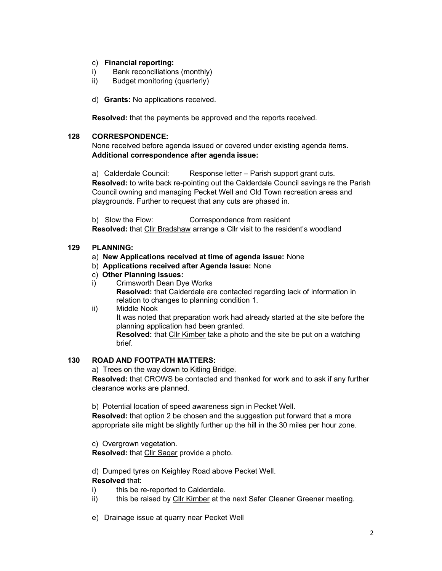# c) Financial reporting:

- i) Bank reconciliations (monthly)
- ii) Budget monitoring (quarterly)
- d) Grants: No applications received.

Resolved: that the payments be approved and the reports received.

## 128 CORRESPONDENCE:

None received before agenda issued or covered under existing agenda items. Additional correspondence after agenda issue:

a) Calderdale Council: Response letter – Parish support grant cuts. Resolved: to write back re-pointing out the Calderdale Council savings re the Parish Council owning and managing Pecket Well and Old Town recreation areas and playgrounds. Further to request that any cuts are phased in.

b) Slow the Flow: Correspondence from resident Resolved: that Cllr Bradshaw arrange a Cllr visit to the resident's woodland

## 129 PLANNING:

- a) New Applications received at time of agenda issue: None
- b) Applications received after Agenda Issue: None
- c) Other Planning Issues:
- i) Crimsworth Dean Dye Works Resolved: that Calderdale are contacted regarding lack of information in relation to changes to planning condition 1.
- ii) Middle Nook

It was noted that preparation work had already started at the site before the planning application had been granted.

Resolved: that Cllr Kimber take a photo and the site be put on a watching brief.

## 130 ROAD AND FOOTPATH MATTERS:

a) Trees on the way down to Kitling Bridge.

Resolved: that CROWS be contacted and thanked for work and to ask if any further clearance works are planned.

b) Potential location of speed awareness sign in Pecket Well.

Resolved: that option 2 be chosen and the suggestion put forward that a more appropriate site might be slightly further up the hill in the 30 miles per hour zone.

c) Overgrown vegetation.

Resolved: that Cllr Sagar provide a photo.

d) Dumped tyres on Keighley Road above Pecket Well.

## Resolved that:

- i) this be re-reported to Calderdale.
- ii) this be raised by Cllr Kimber at the next Safer Cleaner Greener meeting.
- e) Drainage issue at quarry near Pecket Well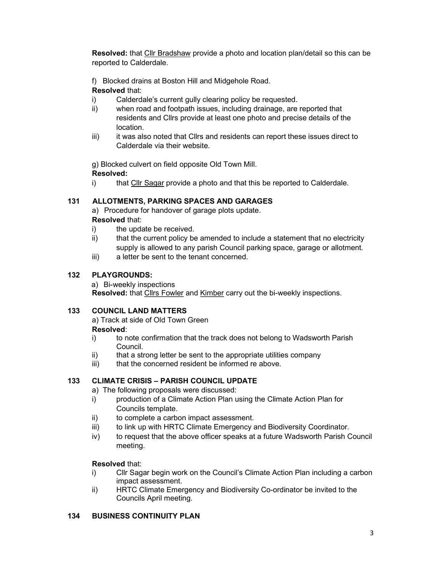Resolved: that Cllr Bradshaw provide a photo and location plan/detail so this can be reported to Calderdale.

f) Blocked drains at Boston Hill and Midgehole Road.

# Resolved that:

- i) Calderdale's current gully clearing policy be requested.
- ii) when road and footpath issues, including drainage, are reported that residents and Cllrs provide at least one photo and precise details of the location.
- iii) it was also noted that Cllrs and residents can report these issues direct to Calderdale via their website.

g) Blocked culvert on field opposite Old Town Mill. Resolved:

i) that Cllr Sagar provide a photo and that this be reported to Calderdale.

# 131 ALLOTMENTS, PARKING SPACES AND GARAGES

a) Procedure for handover of garage plots update. Resolved that:

- i) the update be received.
- ii) that the current policy be amended to include a statement that no electricity supply is allowed to any parish Council parking space, garage or allotment.
- iii) a letter be sent to the tenant concerned.

# 132 PLAYGROUNDS:

a) Bi-weekly inspections Resolved: that Cllrs Fowler and Kimber carry out the bi-weekly inspections.

# 133 COUNCIL LAND MATTERS

a) Track at side of Old Town Green Resolved:

- i) to note confirmation that the track does not belong to Wadsworth Parish Council.
- ii) that a strong letter be sent to the appropriate utilities company
- iii) that the concerned resident be informed re above.

# 133 CLIMATE CRISIS – PARISH COUNCIL UPDATE

- a) The following proposals were discussed:
- i) production of a Climate Action Plan using the Climate Action Plan for Councils template.
- ii) to complete a carbon impact assessment.
- iii) to link up with HRTC Climate Emergency and Biodiversity Coordinator.
- iv) to request that the above officer speaks at a future Wadsworth Parish Council meeting.

# Resolved that:

- i) Cllr Sagar begin work on the Council's Climate Action Plan including a carbon impact assessment.
- ii) HRTC Climate Emergency and Biodiversity Co-ordinator be invited to the Councils April meeting.

# 134 BUSINESS CONTINUITY PLAN